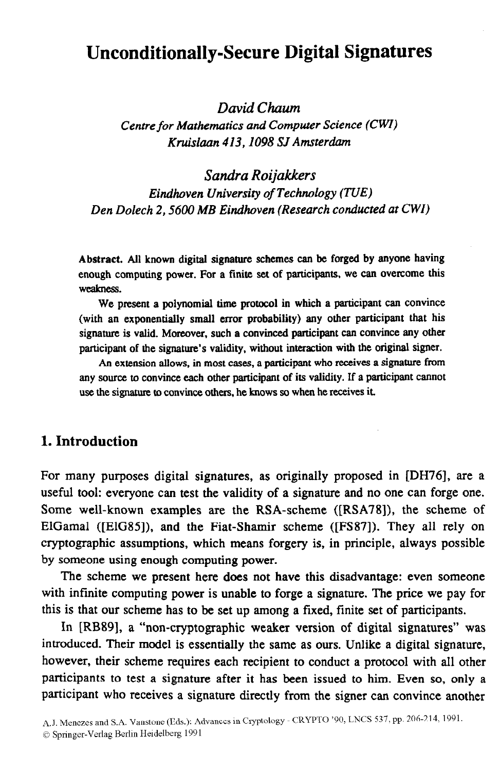# **Unconditionally-Secure Digital Signatures**

*David Chum* 

*Centre for Mathematics and Computer Science (CWI) Kruislaan 413,1098 SJ Amsterdam* 

*Sandra Roijakkers Eindhoven University of Technology (TUE) Den Dolech 2,560O MB Eindhoven (Research conducted at CWI)* 

**Abstract. All** known digital signature schemes can be forged by anyone having enough computing power. For a finite set of participants, we can overcome this **Wealaress.** 

**We** present a polynomial time protocol in which a participant can convince (with an exponentially small error probability) any other participant that his signature is **valid. Moreover, such a convinced participant can convince any other**  participant of the signature's validity, without inreraction with the original signer.

An extension allows. in most cases, a participant who receives a signature from any source to convince **each other participant of its** validity. If a participant cannot use the signature to convince others, he knows so when he receives it.

# **1. Introduction**

For many purposes digital signatures, as originally proposed in [DH76], are a useful tool: everyone can test the validity of a signature and no one can forge one. Some well-known examples are the RSA-scheme ([RSA78]), the scheme of ElGamal ([ElG85]), and the Fiat-Shamir scheme ([FS87]). They all rely on cryptographic assumptions, which means forgery is, in principle, always possible by someone using enough computing power.

The scheme we present here does not have this disadvantage: even someone with infinite computing power is unable to forge a signature. The price we pay for this is that our scheme has to be set up among a fixed, finite set of participants.

In [RB89], a "non-cryptographic weaker version of digital signatures" was introduced. Their model is essentially the same as ours. Unlike a digital signature, however, their scheme requires each recipient to conduct a protocol with all other participants to test a signature after it has been issued to him. Even so, only a participant who receives a signature directly from the signer can convince another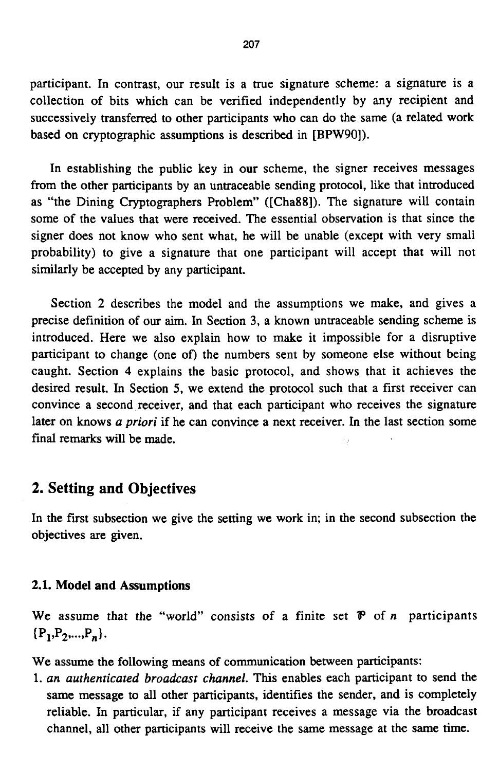participant. In contrast, our result is a true signature scheme: a signature is a collection of bits which can be verified independently by any recipient and successively transferred to other participants who can do the same (a related work based on cryptographic assumptions is described in **[BPWgO]).** 

In establishing the public key in our scheme, the signer receives messages from the other participants by an untraceable sending protocol, like that introduced as "the Dining Cryptographers Problem" ([Cha88]). The signature will contain some of the values that were received. The essential observation is that since the signer does not know who sent what, he will be unable (except with very small probability) to give a signature that one participant will accept that will not similarly be accepted by any participant.

Section 2 describes the model and the assumptions we make, and gives a precise definition of our aim. In Section 3, a known untraceable sending scheme is introduced. Here we also explain how to make it impossible for a disruptive participant to change (one **of)** the numbers sent by someone else without being caught. Section **4** explains the basic protocol, and shows that it achieves the desired result. In Section *5,* we extend the protocol such that a first receiver can convince a second receiver, and that each participant who receives the signature later on knows *a priori* if he can convince a next receiver. In the last section some final **remarks** will be made.

### **2. Setting and Objectives**

In the first subsection we give the setting we work in; in the second subsection the objectives are given.

#### **2.1. Model and Assumptions**

We assume that the "world" consists of a finite set *P* of *n* participants  ${P_1, P_2, ..., P_n}.$ 

We assume the following means of communication **between** participants:

1. *an authenticated broadcast channel.* This enables each participant to send the same message to all other participants, identifies the sender, and is completely reliable. In particular, if any participant receives a message via the broadcast channel, all other participants will receive the same message at the same time.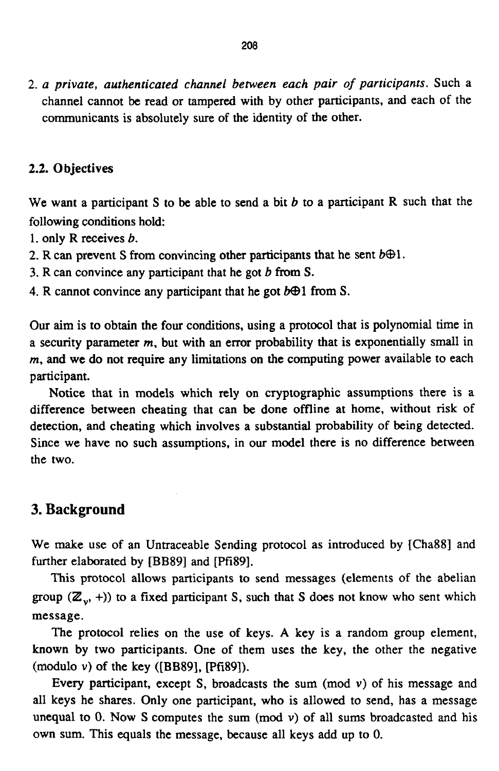*2. a private, authenticated channel between each pair of participants.* Such a channel cannot be read or tampered with by other participants, and each of the communicants is absolutely sure of the identity of the other.

#### **2.2.** *0* **bjectives**

We want a participant **S** to be able to send a bit *b* to a participant R such that the following conditions hold:

1. only R receives *6.* 

- 2. R can prevent S from convincing other participants that he sent  $b\oplus 1$ .
- 3. R can convince any participant that he got *b* from *S.*
- 4. R cannot convince any participant that he got  $b \oplus 1$  from S.

Our aim is to obtain the **four** conditions, using a protocol that is polynomial time in a security parameter *m,* but with an error probability that is exponentially small in *m,* and we do not require any limitations on the computing power available to each participant.

Notice that in models which rely on cryptographic assumptions there is a difference between cheating that can **be** done offline at home, without risk of detection, and cheating which involves a substantial probability of being detected. Since we have no such assumptions, in **our** model there is no difference between the two.

### **3. Background**

We make use of an Untraceable Sending protocol as introduced by [Cha88] and further elaborated by [BB89] and [Pfi89].

This protocol allows participants to send messages (elements of the abelian group  $(\mathbb{Z}_n, +)$ ) to a fixed participant S, such that S does not know who sent which message.

The protocol relies on the use of keys. **A** key is a random group element, known by two participants. One of them uses the key, the other the negative (modulo *v)* of the key ([BB89], Ipfi891).

Every participant, except **S,** broadcasts the sum (mod *v)* of his message and all keys he shares. Only one participant, who is allowed to send, has a message unequal to 0. Now S computes the sum (mod  $v$ ) of all sums broadcasted and his own sum. This equals the message, because all keys add up to 0.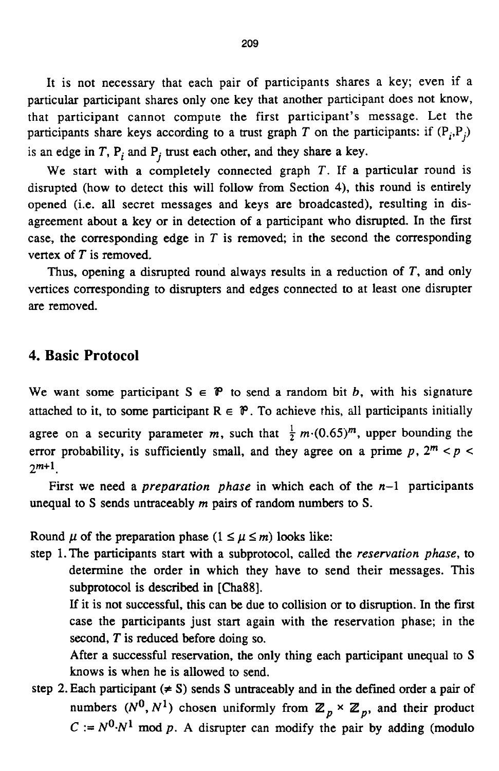It is not necessary that each pair of participants shares a key; even if a particular participant shares only one key that another participant does not know, that participant cannot compute the first participant's message. Let the participants share keys according to a trust graph T on the participants: if  $(P_i, P_j)$ is an edge in  $T$ ,  $P_i$  and  $P_j$  trust each other, and they share a key.

We start with a completely connected graph T. If **a** particular round is disrupted (how to detect this will follow from Section **4).** this round is entirely opened (i.e. all secret messages and keys are broadcasted), resulting in disagreement about a key or in detection of a participant who disrupted. In the first case, the corresponding edge in *T* is removed; in the second the corresponding vertex of  $T$  is removed.

Thus, opening a disrupted round always results in a reduction of T, and only vertices corresponding to disrupters and edges connected to at least one disrupter are removed.

# **4. Basic Protocol**

We want some participant  $S \in \mathcal{P}$  to send a random bit *b*, with his signature attached to it, to some participant  $R \in \mathcal{P}$ . To achieve this, all participants initially agree on a security parameter *m*, such that  $\frac{1}{2}m(0.65)^m$ , upper bounding the error probability, is sufficiently small, and they agree on a prime  $p$ ,  $2^m < p <$  $2^{m+1}$ .

First we need a *preparation phase* in which each of the **n-1** participants unequal to S sends untraceably *m* pairs of random numbers to S.

Round  $\mu$  of the preparation phase  $(1 \leq \mu \leq m)$  looks like:

step 1. The participants start with a subprotocol, called the *reservarion phase,* to determine the order in which they have to send their messages. This subprotocol is described in [Cha88].

If it is not successful, this can **be** due to collision or to disruption. In the first case the participants just start again with the reservation phase; in the second, *T* is reduced before doing so.

After a successful reservation, the only thing each participant unequal to **S**  knows is when he is allowed to send.

step 2. Each participant  $(\neq S)$  sends S untraceably and in the defined order a pair of numbers  $(N^0, N^1)$  chosen uniformly from  $\mathbb{Z}_p \times \mathbb{Z}_p$ , and their product  $C := N^0 \cdot N^1$  mod *p*. A disrupter can modify the pair by adding (modulo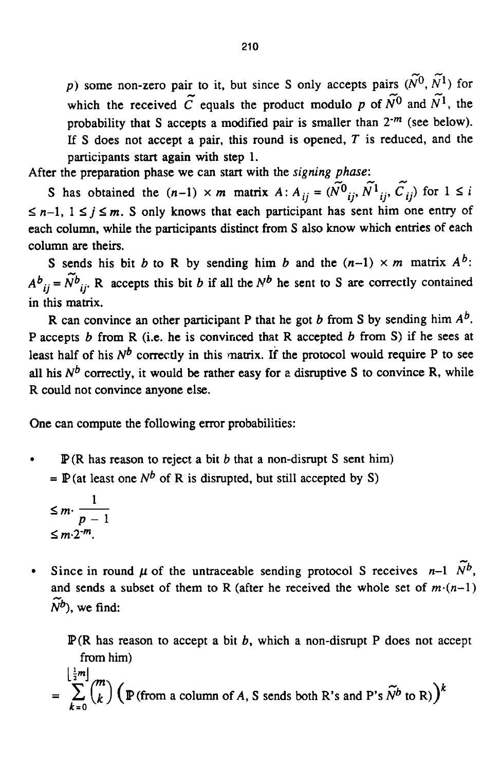**-c**  p) some non-zero pair to it, but since S only accepts pairs  $(\tilde{N}^0, \tilde{N}^1)$  for  $\tilde{N}^0$  and  $\tilde{N}^0$  and  $\tilde{N}^0$  and  $\tilde{N}^0$  and  $\tilde{N}^0$ which the received  $\tilde{C}$  equals the product modulo p of  $\tilde{N}^0$  and  $\tilde{N}^1$ , the probability that **S** accepts a modified pair is smaller than *2-m* (see below). If **S** does not accept a pair, this round is opened, *T* is reduced, and the participants start again with step 1.

After the preparation phase we can start with the *signing* phase:

S has obtained the  $(n-1) \times m$  matrix  $A: A_{ij} = (\tilde{N^0}_{ij}, \tilde{N^1}_{ij}, \tilde{C}_{ij})$  for  $1 \le i \le n-1, 1 \le j \le m$ . S only knows that each participant has sent him one entry of  $n-1$ ,  $1 \le j \le m$ . each column, while the participants distinct from **S** also know which entries of each column are theirs. *phase*:<br> $\widetilde{U}$   $\widetilde{V}$   $\widetilde{V}$   $\widetilde{V}$ 

**S** sends his bit *b* to R by sending him *b* and the  $(n-1) \times m$  matrix  $A^b$ :  $A^{b}{}_{ii} = \widetilde{N}^{b}{}_{ii}$ . R accepts this bit *b* if all the  $N^{b}$  he sent to *S* are correctly contained in this **matrix.** 

R can convince an other participant P that he got b from **S** by sending him *Ab.*  P accepts b from R (i.e. he is conviriced that R accepted b from **S)** if he sees at least half of his  $N^b$  correctly in this matrix. If the protocol would require P to see all his  $N^b$  correctly, it would be rather easy for a disruptive S to convince R, while R could not convince anyone else.

One can compute the following error probabilities:

**IFALA** (R has reason<br>  $= \mathbb{P}(\text{at least one }\Lambda)$ <br>  $\leq m \cdot \frac{1}{p-1}$ <br>  $\leq m \cdot 2^{-m}$ IP(R has reason to reject a bit b that a non-disrupt **S** sent him)  $\bullet$  $=$  **P**(at least one  $N^b$  of R is disrupted, but still accepted by S)

$$
\leq m \cdot \frac{1}{p-1}
$$
  

$$
\leq m \cdot 2^{-m}.
$$

Since in round  $\mu$  of the untraceable sending protocol S receives *n*-1  $\widetilde{N}^b$ , and sends a subset of them to R (after he received the whole set of  $m(n-1)$ )  $\widetilde{N}^b$ ), we find:

 $\mathbb{P}(\mathbb{R})$  has reason to accept a bit b, which a non-disrupt P does not accept from him)

 $=\sum_{k=0}^{\lfloor \frac{1}{2}m \rfloor} {m \choose k} \left( \mathbb{P}(\text{from a column of } A, S \text{ sends both } R \text{'s and P's } \tilde{N}^b \text{ to } R) \right)^k$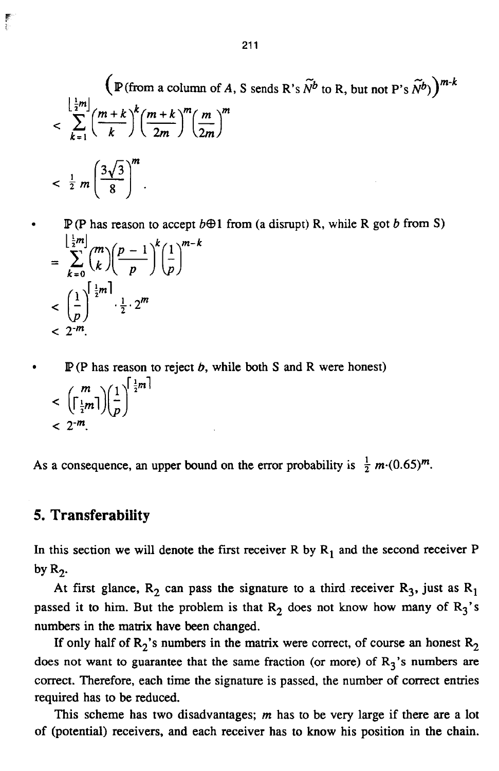$$
\left(\mathbb{P}(\text{from a column of } A, S \text{ sends } R's \tilde{N}^b \text{ to } R, \text{ but not } P's \tilde{N}^b)\right)^{m-k}
$$
\n
$$
< \sum_{k=1}^{\left\lfloor \frac{1}{2}m \right\rfloor} \left(\frac{m+k}{k}\right)^k \left(\frac{m+k}{2m}\right)^m \left(\frac{m}{2m}\right)^m
$$
\n
$$
< \frac{1}{2} m \left(\frac{3\sqrt{3}}{8}\right)^m.
$$

 $= \sum_{k=0}^{\left\lfloor \frac{1}{2}m\right\rfloor} {m \choose k} \left(\frac{p-1}{p}\right)^k \left(\frac{1}{p}\right)^{m-k}$  $<$   $\left(\frac{1}{n}\right)^{\frac{1}{2}m} \cdot \frac{1}{2} \cdot 2^m$  $<$  2<sup>-m</sup>.  $\mathbb{P}(\text{P has reason to accept } b \oplus 1 \text{ from (a disrupt) R, while R got } b \text{ from S})$ 

 $\begin{pmatrix} m \\ \left\lceil \frac{1}{2}m \right\rceil \end{pmatrix} \begin{pmatrix} 1 \\ \frac{1}{2}m \end{pmatrix}$  $< 2^{-m}$ . IP(P has reason to reject *6,* while both S and R were honest)

As a consequence, an upper bound on the error probability is  $\frac{1}{2} m \cdot (0.65)^m$ .

#### *5.* **Transferability**

In this section we will denote the first receiver R by  $R_1$  and the second receiver P by  $R_2$ .

At first glance,  $R_2$  can pass the signature to a third receiver  $R_3$ , just as  $R_1$ passed it to him. But the problem is that  $R_2$  does not know how many of  $R_3$ 's numbers in the matrix have been changed.

If only half of  $R_2$ 's numbers in the matrix were correct, of course an honest  $R_2$ does not want to guarantee that the same fraction (or more) of  $R_3$ 's numbers are correct. Therefore, each time the signature is passed, the number of correct entries required has to be reduced.

This scheme has two disadvantages; *m* has to be very large if there are a lot of (potential) receivers, and each receiver has to know his position in the chain.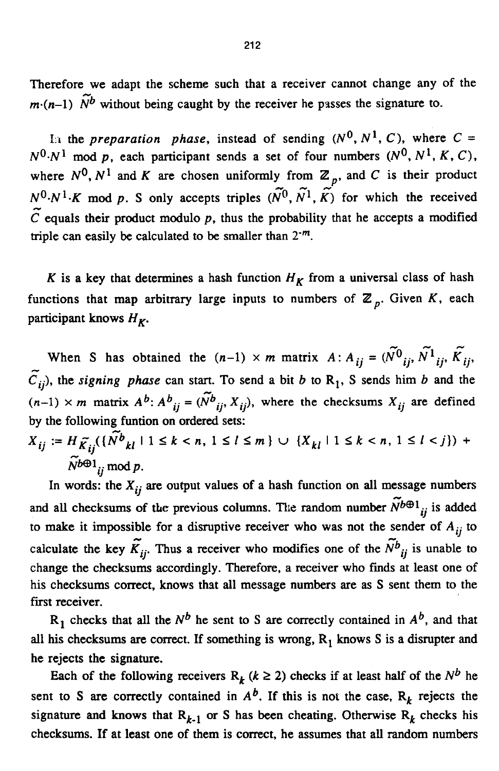Therefore we adapt the scheme such that a receiver cannot change any of the  $m \cdot (n-1)$   $\widetilde{N}^b$  without being caught by the receiver he passes the signature to.

In the preparation phase, instead of sending  $(N^0, N^1, C)$ , where  $C =$  $N^0 \cdot N^1$  mod p, each participant sends a set of four numbers  $(N^0, N^1, K, C)$ , where  $N^0$ ,  $N^1$  and *K* are chosen uniformly from  $\mathbb{Z}_p$ , and *C* is their product  $N^0 \cdot N^1 \cdot K$  mod p. S only accepts triples  $(\widetilde{N}^0, \widetilde{N}^1, \widetilde{K})$  for which the received  $\widetilde{C}$  is a statistic unclusion which the received  $\tilde{C}$  equals their product modulo  $p$ , thus the probability that he accepts a modified triple can easily be calculated to be smaller than  $2^{-m}$ .

*K* is a key that determines a hash function  $H_K$  from a universal class of hash functions that map arbitrary large inputs to numbers of  $\mathbb{Z}_p$ . Given *K*, each participant knows  $H_K$ .

When *S* has obtained the  $(n-1) \times m$  matrix  $A : A_{ij} = (\tilde{N}^0_{ij}, \tilde{N}^1_{ij}, \tilde{K}_{ij})$ *Cij),* the signing phase can start. To send a bit *b* to **R,,** S sends him *b* and the  $(n-1) \times m$  matrix  $A^b$ :  $A^b_{ij} = (\tilde{N}^b_{ij}, X_{ij})$ , where the checksums  $X_{ij}$  are defined .<br>ส. by the following funtion on ordered sets:

 $X_{ij} := H_{\widetilde{K}_{ij}}(\{\widetilde{N^b}_{kl} \mid 1 \leq k < n, \ 1 \leq l \leq m\} \ \cup \ \{X_{kl} \mid 1 \leq k < n, \ 1 \leq l < j\}) \ +$  $\widetilde{N}^{b\oplus 1}$  *i* mod p.

In words: the  $X_{ij}$  are output values of a hash function on all message numbers and all checksums of the previous columns. The random number  $N^{b\oplus 1}$  is added to make it impossible for a disruptive receiver who was not the sender of  $A_{ij}$  to  $A_{ij}$  and  $\tilde{X}$   $\tilde{X}$ calculate the key  $\widetilde{K}_{ij}$ . Thus a receiver who modifies one of the  $\widetilde{N}_{ij}^b$  is unable to change the checksums accordingly. Therefore, a receiver who finds at least one of his checksums correct, knows that all message numbers are **as S** sent them to the first receiver.  $\sim$ 

 $R_1$  checks that all the  $N^b$  he sent to S are correctly contained in  $A^b$ , and that all **his** checksums **are** correct. If something is wrong, **R,** knows **S** is a disrupter and he rejects the signature.

Each of the following receivers  $R_k$  ( $k \ge 2$ ) checks if at least half of the  $N^b$  he sent to *S* are correctly contained in  $A^b$ . If this is not the case,  $R_k$  rejects the signature and knows that  $R_{k-1}$  or S has been cheating. Otherwise  $R_k$  checks his checksums. If at least one of them is correct. he assumes that all random numbers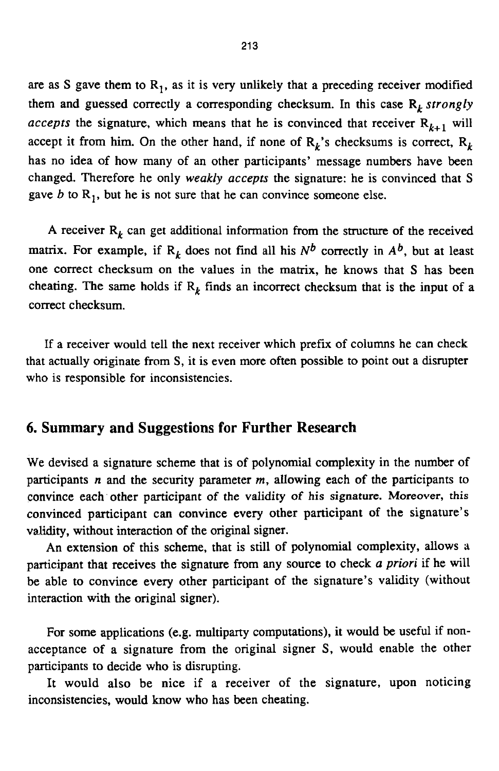are as S gave them to  $R_1$ , as it is very unlikely that a preceding receiver modified them and guessed correctly a corresponding checksum. In this case  $R_k$  strongly *accepts* the signature, which means that he is convinced that receiver  $R_{k+1}$  will accept it from him. On the other hand, if none of  $R_k$ 's checksums is correct,  $R_k$ has no idea of how many of an other participants' message numbers have been changed. Therefore he only weakly *acceprs* the signature: he is convinced that S gave  $b$  to  $R_1$ , but he is not sure that he can convince someone else.

A receiver  $R_k$  can get additional information from the structure of the received matrix. For example, if  $R_k$  does not find all his  $N^b$  correctly in  $A^b$ , but at least one correct checksum on the values in the matrix, he knows that S has been cheating. The same holds if  $R_k$  finds an incorrect checksum that is the input of a correct checksum.

If a receiver would tell the next receiver which prefix of columns he can check that actually originate from S, it is even more often possible to point out a disrupter who is responsible for inconsistencies.

### **6. Summary and Suggestions for Further Research**

We devised a signature scheme that is of polynomial complexity in the number of participants *n* and the security parameter *m,* allowing each of the participants to convince each other participant *of* the validity *of* his signature. **Moreover,** this convinced participant can convince every other participant of the signature's validity, without interaction of the original signer.

An extension of this scheme, that is still of polynomial complexity, allows a participant that receives the signature from any source to check *u* priori if he will be able to convince every other participant of the signature's validity (without interaction with the original signer).

For some applications (e.g. multiparty computations), it would be useful if nonacceptance of a signature from the original signer **S,** would enable the other participants to decide who is disrupting.

It would also be nice if a receiver of the signature, upon noticing inconsistencies, would know who has been cheating.